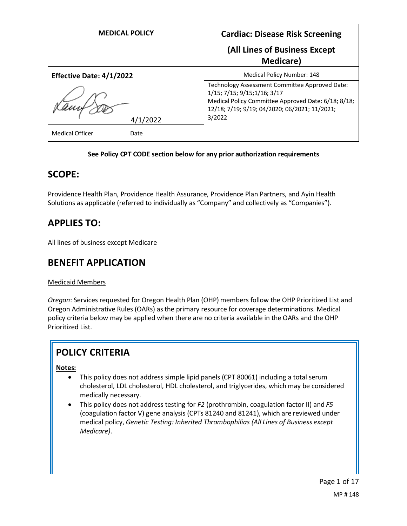| <b>MEDICAL POLICY</b>           | <b>Cardiac: Disease Risk Screening</b>                                                                                                                                                           |
|---------------------------------|--------------------------------------------------------------------------------------------------------------------------------------------------------------------------------------------------|
|                                 | (All Lines of Business Except<br><b>Medicare</b> )                                                                                                                                               |
| <b>Effective Date: 4/1/2022</b> | Medical Policy Number: 148                                                                                                                                                                       |
| 4/1/2022                        | Technology Assessment Committee Approved Date:<br>1/15; 7/15; 9/15; 1/16; 3/17<br>Medical Policy Committee Approved Date: 6/18; 8/18;<br>12/18; 7/19; 9/19; 04/2020; 06/2021; 11/2021;<br>3/2022 |
| <b>Medical Officer</b><br>Date  |                                                                                                                                                                                                  |

### **See Policy CPT CODE section below for any prior authorization requirements**

## **SCOPE:**

Providence Health Plan, Providence Health Assurance, Providence Plan Partners, and Ayin Health Solutions as applicable (referred to individually as "Company" and collectively as "Companies").

# **APPLIES TO:**

All lines of business except Medicare

# **BENEFIT APPLICATION**

### Medicaid Members

*Oregon*: Services requested for Oregon Health Plan (OHP) members follow the OHP Prioritized List and Oregon Administrative Rules (OARs) as the primary resource for coverage determinations. Medical policy criteria below may be applied when there are no criteria available in the OARs and the OHP Prioritized List.

# **POLICY CRITERIA**

### **Notes:**

- This policy does not address simple lipid panels (CPT 80061) including a total serum cholesterol, LDL cholesterol, HDL cholesterol, and triglycerides, which may be considered medically necessary.
- This policy does not address testing for *F2* (prothrombin, coagulation factor II) and *F5*  (coagulation factor V) gene analysis (CPTs 81240 and 81241), which are reviewed under medical policy, *Genetic Testing: Inherited Thrombophilias (All Lines of Business except Medicare)*.

Page 1 of 17 MP # 148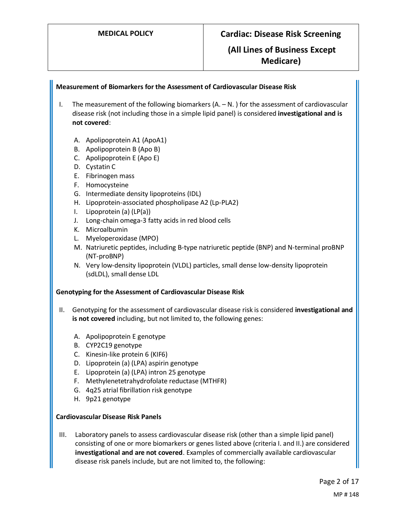### **Measurement of Biomarkers for the Assessment of Cardiovascular Disease Risk**

- I. The measurement of the following biomarkers  $(A N)$  for the assessment of cardiovascular disease risk (not including those in a simple lipid panel) is considered **investigational and is not covered**:
	- A. Apolipoprotein A1 (ApoA1)
	- B. Apolipoprotein B (Apo B)
	- C. Apolipoprotein E (Apo E)
	- D. Cystatin C
	- E. Fibrinogen mass
	- F. Homocysteine
	- G. Intermediate density lipoproteins (IDL)
	- H. Lipoprotein-associated phospholipase A2 (Lp-PLA2)
	- I. Lipoprotein (a) (LP(a))
	- J. Long-chain omega-3 fatty acids in red blood cells
	- K. Microalbumin
	- L. Myeloperoxidase (MPO)
	- M. Natriuretic peptides, including B-type natriuretic peptide (BNP) and N-terminal proBNP (NT-proBNP)
	- N. Very low-density lipoprotein (VLDL) particles, small dense low-density lipoprotein (sdLDL), small dense LDL

#### **Genotyping for the Assessment of Cardiovascular Disease Risk**

- II. Genotyping for the assessment of cardiovascular disease risk is considered **investigational and is not covered** including, but not limited to, the following genes:
	- A. Apolipoprotein E genotype
	- B. CYP2C19 genotype
	- C. Kinesin-like protein 6 (KIF6)
	- D. Lipoprotein (a) (LPA) aspirin genotype
	- E. Lipoprotein (a) (LPA) intron 25 genotype
	- F. Methylenetetrahydrofolate reductase (MTHFR)
	- G. 4q25 atrial fibrillation risk genotype
	- H. 9p21 genotype

#### **Cardiovascular Disease Risk Panels**

III. Laboratory panels to assess cardiovascular disease risk (other than a simple lipid panel) consisting of one or more biomarkers or genes listed above (criteria I. and II.) are considered **investigational and are not covered**. Examples of commercially available cardiovascular disease risk panels include, but are not limited to, the following: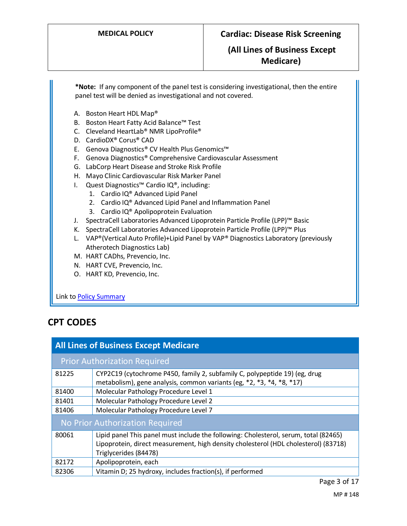**\*Note:** If any component of the panel test is considering investigational, then the entire panel test will be denied as investigational and not covered.

- A. Boston Heart HDL Map®
- B. Boston Heart Fatty Acid Balance™ Test
- C. Cleveland HeartLab® NMR LipoProfile®
- D. CardioDX® Corus® CAD
- E. Genova Diagnostics® CV Health Plus Genomics™
- F. Genova Diagnostics® Comprehensive Cardiovascular Assessment
- G. LabCorp Heart Disease and Stroke Risk Profile
- H. Mayo Clinic Cardiovascular Risk Marker Panel
- I. Quest Diagnostics™ Cardio IQ®, including:
	- 1. Cardio IQ® Advanced Lipid Panel
	- 2. Cardio IQ® Advanced Lipid Panel and Inflammation Panel
	- 3. Cardio IQ® Apolipoprotein Evaluation
- J. SpectraCell Laboratories Advanced Lipoprotein Particle Profile (LPP)™ Basic
- K. SpectraCell Laboratories Advanced Lipoprotein Particle Profile (LPP)™ Plus
- L. VAP®(Vertical Auto Profile)+Lipid Panel by VAP® Diagnostics Laboratory (previously Atherotech Diagnostics Lab)
- M. HART CADhs, Prevencio, Inc.
- N. HART CVE, Prevencio, Inc.
- O. HART KD, Prevencio, Inc.

Link t[o Policy Summary](#page-13-0)

# **CPT CODES**

| <b>All Lines of Business Except Medicare</b> |                                                                                                                                                                                                      |  |
|----------------------------------------------|------------------------------------------------------------------------------------------------------------------------------------------------------------------------------------------------------|--|
|                                              | <b>Prior Authorization Required</b>                                                                                                                                                                  |  |
| 81225                                        | CYP2C19 (cytochrome P450, family 2, subfamily C, polypeptide 19) (eg, drug<br>metabolism), gene analysis, common variants (eg, *2, *3, *4, *8, *17)                                                  |  |
| 81400                                        | Molecular Pathology Procedure Level 1                                                                                                                                                                |  |
| 81401                                        | Molecular Pathology Procedure Level 2                                                                                                                                                                |  |
| 81406                                        | Molecular Pathology Procedure Level 7                                                                                                                                                                |  |
| No Prior Authorization Required              |                                                                                                                                                                                                      |  |
| 80061                                        | Lipid panel This panel must include the following: Cholesterol, serum, total (82465)<br>Lipoprotein, direct measurement, high density cholesterol (HDL cholesterol) (83718)<br>Triglycerides (84478) |  |
| 82172                                        | Apolipoprotein, each                                                                                                                                                                                 |  |
| 82306                                        | Vitamin D; 25 hydroxy, includes fraction(s), if performed                                                                                                                                            |  |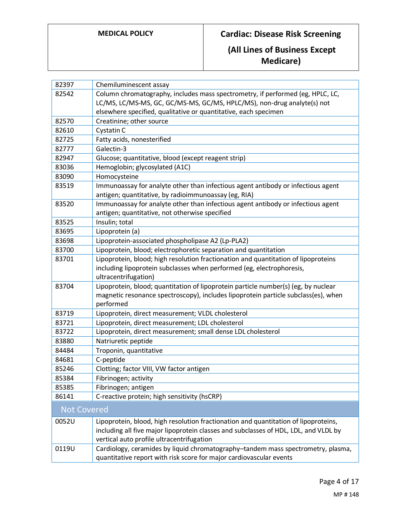| 82397              | Chemiluminescent assay                                                               |
|--------------------|--------------------------------------------------------------------------------------|
| 82542              | Column chromatography, includes mass spectrometry, if performed (eg, HPLC, LC,       |
|                    | LC/MS, LC/MS-MS, GC, GC/MS-MS, GC/MS, HPLC/MS), non-drug analyte(s) not              |
|                    | elsewhere specified, qualitative or quantitative, each specimen                      |
| 82570              | Creatinine; other source                                                             |
| 82610              | Cystatin C                                                                           |
| 82725              | Fatty acids, nonesterified                                                           |
| 82777              | Galectin-3                                                                           |
| 82947              | Glucose; quantitative, blood (except reagent strip)                                  |
| 83036              | Hemoglobin; glycosylated (A1C)                                                       |
| 83090              | Homocysteine                                                                         |
| 83519              | Immunoassay for analyte other than infectious agent antibody or infectious agent     |
|                    | antigen; quantitative, by radioimmunoassay (eg, RIA)                                 |
| 83520              | Immunoassay for analyte other than infectious agent antibody or infectious agent     |
|                    | antigen; quantitative, not otherwise specified                                       |
| 83525              | Insulin; total                                                                       |
| 83695              | Lipoprotein (a)                                                                      |
| 83698              | Lipoprotein-associated phospholipase A2 (Lp-PLA2)                                    |
| 83700              | Lipoprotein, blood; electrophoretic separation and quantitation                      |
| 83701              | Lipoprotein, blood; high resolution fractionation and quantitation of lipoproteins   |
|                    | including lipoprotein subclasses when performed (eg, electrophoresis,                |
|                    | ultracentrifugation)                                                                 |
| 83704              | Lipoprotein, blood; quantitation of lipoprotein particle number(s) (eg, by nuclear   |
|                    | magnetic resonance spectroscopy), includes lipoprotein particle subclass(es), when   |
|                    | performed                                                                            |
| 83719              | Lipoprotein, direct measurement; VLDL cholesterol                                    |
| 83721              | Lipoprotein, direct measurement; LDL cholesterol                                     |
| 83722              | Lipoprotein, direct measurement; small dense LDL cholesterol                         |
| 83880              | Natriuretic peptide                                                                  |
| 84484              | Troponin, quantitative                                                               |
| 84681              | C-peptide                                                                            |
| 85246              | Clotting; factor VIII, VW factor antigen                                             |
| 85384              | Fibrinogen; activity                                                                 |
| 85385              | Fibrinogen; antigen                                                                  |
| 86141              | C-reactive protein; high sensitivity (hsCRP)                                         |
| <b>Not Covered</b> |                                                                                      |
| 0052U              | Lipoprotein, blood, high resolution fractionation and quantitation of lipoproteins,  |
|                    | including all five major lipoprotein classes and subclasses of HDL, LDL, and VLDL by |
|                    | vertical auto profile ultracentrifugation                                            |
| 0119U              | Cardiology, ceramides by liquid chromatography-tandem mass spectrometry, plasma,     |
|                    | quantitative report with risk score for major cardiovascular events                  |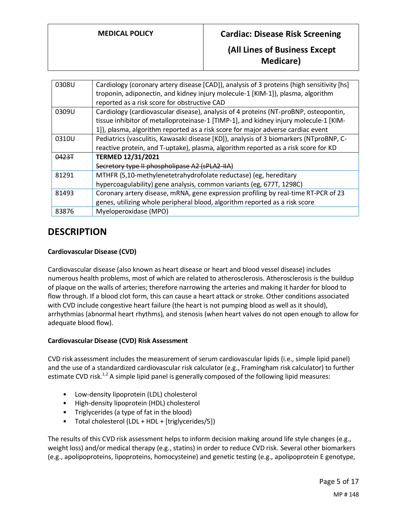## **(All Lines of Business Except Medicare)**

| 0308U | Cardiology (coronary artery disease [CAD]), analysis of 3 proteins (high sensitivity [hs]<br>troponin, adiponectin, and kidney injury molecule-1 [KIM-1]), plasma, algorithm |
|-------|------------------------------------------------------------------------------------------------------------------------------------------------------------------------------|
|       | reported as a risk score for obstructive CAD                                                                                                                                 |
| 0309U | Cardiology (cardiovascular disease), analysis of 4 proteins (NT-proBNP, osteopontin,                                                                                         |
|       | tissue inhibitor of metalloproteinase-1 [TIMP-1], and kidney injury molecule-1 [KIM-                                                                                         |
|       | 1]), plasma, algorithm reported as a risk score for major adverse cardiac event                                                                                              |
| 0310U | Pediatrics (vasculitis, Kawasaki disease [KD]), analysis of 3 biomarkers (NTproBNP, C-                                                                                       |
|       | reactive protein, and T-uptake), plasma, algorithm reported as a risk score for KD                                                                                           |
| 0423T | <b>TERMED 12/31/2021</b>                                                                                                                                                     |
|       | Secretory type II phospholipase A2 (sPLA2-IIA)                                                                                                                               |
| 81291 | MTHFR (5,10-methylenetetrahydrofolate reductase) (eg, hereditary                                                                                                             |
|       | hypercoagulability) gene analysis, common variants (eg, 677T, 1298C)                                                                                                         |
| 81493 | Coronary artery disease, mRNA, gene expression profiling by real-time RT-PCR of 23                                                                                           |
|       | genes, utilizing whole peripheral blood, algorithm reported as a risk score                                                                                                  |
| 83876 | Myeloperoxidase (MPO)                                                                                                                                                        |
|       |                                                                                                                                                                              |

# **DESCRIPTION**

### **Cardiovascular Disease (CVD)**

Cardiovascular disease (also known as heart disease or heart and blood vessel disease) includes numerous health problems, most of which are related to atherosclerosis. Atherosclerosis is the buildup of plaque on the walls of arteries; therefore narrowing the arteries and making it harder for blood to flow through. If a blood clot form, this can cause a heart attack or stroke. Other conditions associated with CVD include congestive heart failure (the heart is not pumping blood as well as it should), arrhythmias (abnormal heart rhythms), and stenosis (when heart valves do not open enough to allow for adequate blood flow).

#### **Cardiovascular Disease (CVD) Risk Assessment**

CVD risk assessment includes the measurement of serum cardiovascular lipids (i.e., simple lipid panel) and the use of a standardized cardiovascular risk calculator (e.g., Framingham risk calculator) to further estimate CVD risk.<sup>1,2</sup> A simple lipid panel is generally composed of the following lipid measures:

- Low-density lipoprotein (LDL) cholesterol
- High-density lipoprotein (HDL) cholesterol
- Triglycerides (a type of fat in the blood)
- Total cholesterol (LDL + HDL + [triglycerides/5])

The results of this CVD risk assessment helps to inform decision making around life style changes (e.g., weight loss) and/or medical therapy (e.g., statins) in order to reduce CVD risk. Several other biomarkers (e.g., apolipoproteins, lipoproteins, homocysteine) and genetic testing (e.g., apolipoprotein E genotype,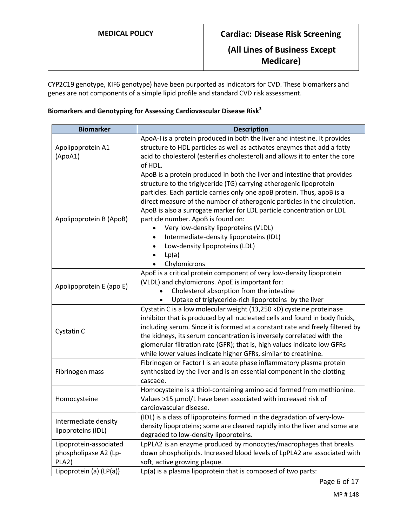CYP2C19 genotype, KIF6 genotype) have been purported as indicators for CVD. These biomarkers and genes are not components of a simple lipid profile and standard CVD risk assessment.

## **Biomarkers and Genotyping for Assessing Cardiovascular Disease Risk<sup>3</sup>**

| <b>Biomarker</b>                                         | <b>Description</b>                                                                                                                                                                                                                                                                                                                                                                                                                                                                                                                                                   |
|----------------------------------------------------------|----------------------------------------------------------------------------------------------------------------------------------------------------------------------------------------------------------------------------------------------------------------------------------------------------------------------------------------------------------------------------------------------------------------------------------------------------------------------------------------------------------------------------------------------------------------------|
| Apolipoprotein A1<br>(ApoA1)                             | ApoA-I is a protein produced in both the liver and intestine. It provides<br>structure to HDL particles as well as activates enzymes that add a fatty<br>acid to cholesterol (esterifies cholesterol) and allows it to enter the core<br>of HDL.                                                                                                                                                                                                                                                                                                                     |
| Apolipoprotein B (ApoB)                                  | ApoB is a protein produced in both the liver and intestine that provides<br>structure to the triglyceride (TG) carrying atherogenic lipoprotein<br>particles. Each particle carries only one apoB protein. Thus, apoB is a<br>direct measure of the number of atherogenic particles in the circulation.<br>ApoB is also a surrogate marker for LDL particle concentration or LDL<br>particle number. ApoB is found on:<br>Very low-density lipoproteins (VLDL)<br>Intermediate-density lipoproteins (IDL)<br>Low-density lipoproteins (LDL)<br>Lp(a)<br>Chylomicrons |
| Apolipoprotein E (apo E)                                 | ApoE is a critical protein component of very low-density lipoprotein<br>(VLDL) and chylomicrons. ApoE is important for:<br>Cholesterol absorption from the intestine<br>Uptake of triglyceride-rich lipoproteins by the liver                                                                                                                                                                                                                                                                                                                                        |
| Cystatin C                                               | Cystatin C is a low molecular weight (13,250 kD) cysteine proteinase<br>inhibitor that is produced by all nucleated cells and found in body fluids,<br>including serum. Since it is formed at a constant rate and freely filtered by<br>the kidneys, its serum concentration is inversely correlated with the<br>glomerular filtration rate (GFR); that is, high values indicate low GFRs<br>while lower values indicate higher GFRs, similar to creatinine.                                                                                                         |
| Fibrinogen mass                                          | Fibrinogen or Factor I is an acute phase inflammatory plasma protein<br>synthesized by the liver and is an essential component in the clotting<br>cascade.                                                                                                                                                                                                                                                                                                                                                                                                           |
| Homocysteine                                             | Homocysteine is a thiol-containing amino acid formed from methionine.<br>Values >15 µmol/L have been associated with increased risk of<br>cardiovascular disease.                                                                                                                                                                                                                                                                                                                                                                                                    |
| Intermediate density<br>lipoproteins (IDL)               | (IDL) is a class of lipoproteins formed in the degradation of very-low-<br>density lipoproteins; some are cleared rapidly into the liver and some are<br>degraded to low-density lipoproteins.                                                                                                                                                                                                                                                                                                                                                                       |
| Lipoprotein-associated<br>phospholipase A2 (Lp-<br>PLA2) | LpPLA2 is an enzyme produced by monocytes/macrophages that breaks<br>down phospholipids. Increased blood levels of LpPLA2 are associated with<br>soft, active growing plaque.                                                                                                                                                                                                                                                                                                                                                                                        |
| Lipoprotein (a) (LP(a))                                  | Lp(a) is a plasma lipoprotein that is composed of two parts:                                                                                                                                                                                                                                                                                                                                                                                                                                                                                                         |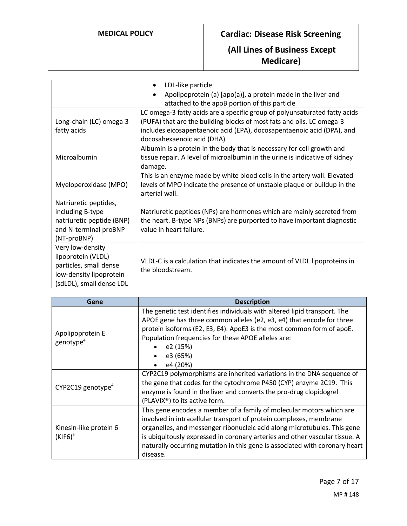|                                                                                                                         | LDL-like particle<br>$\bullet$<br>Apolipoprotein (a) [apo(a)], a protein made in the liver and<br>$\bullet$<br>attached to the apoB portion of this particle                                                                                                 |
|-------------------------------------------------------------------------------------------------------------------------|--------------------------------------------------------------------------------------------------------------------------------------------------------------------------------------------------------------------------------------------------------------|
| Long-chain (LC) omega-3<br>fatty acids                                                                                  | LC omega-3 fatty acids are a specific group of polyunsaturated fatty acids<br>(PUFA) that are the building blocks of most fats and oils. LC omega-3<br>includes eicosapentaenoic acid (EPA), docosapentaenoic acid (DPA), and<br>docosahexaenoic acid (DHA). |
| Microalbumin                                                                                                            | Albumin is a protein in the body that is necessary for cell growth and<br>tissue repair. A level of microalbumin in the urine is indicative of kidney<br>damage.                                                                                             |
| Myeloperoxidase (MPO)                                                                                                   | This is an enzyme made by white blood cells in the artery wall. Elevated<br>levels of MPO indicate the presence of unstable plaque or buildup in the<br>arterial wall.                                                                                       |
| Natriuretic peptides,<br>including B-type<br>natriuretic peptide (BNP)<br>and N-terminal proBNP<br>(NT-proBNP)          | Natriuretic peptides (NPs) are hormones which are mainly secreted from<br>the heart. B-type NPs (BNPs) are purported to have important diagnostic<br>value in heart failure.                                                                                 |
| Very low-density<br>lipoprotein (VLDL)<br>particles, small dense<br>low-density lipoprotein<br>(sdLDL), small dense LDL | VLDL-C is a calculation that indicates the amount of VLDL lipoproteins in<br>the bloodstream.                                                                                                                                                                |

| Gene                                      | <b>Description</b>                                                                                                                                                                                                                                                                                                                                                                               |
|-------------------------------------------|--------------------------------------------------------------------------------------------------------------------------------------------------------------------------------------------------------------------------------------------------------------------------------------------------------------------------------------------------------------------------------------------------|
| Apolipoprotein E<br>genotype <sup>4</sup> | The genetic test identifies individuals with altered lipid transport. The<br>APOE gene has three common alleles (e2, e3, e4) that encode for three<br>protein isoforms (E2, E3, E4). ApoE3 is the most common form of apoE.<br>Population frequencies for these APOE alleles are:<br>e2 (15%)<br>e3 (65%)<br>e4 (20%)                                                                            |
| CYP2C19 genotype <sup>4</sup>             | CYP2C19 polymorphisms are inherited variations in the DNA sequence of<br>the gene that codes for the cytochrome P450 (CYP) enzyme 2C19. This<br>enzyme is found in the liver and converts the pro-drug clopidogrel<br>(PLAVIX <sup>®</sup> ) to its active form.                                                                                                                                 |
| Kinesin-like protein 6<br>$(KIF6)^5$      | This gene encodes a member of a family of molecular motors which are<br>involved in intracellular transport of protein complexes, membrane<br>organelles, and messenger ribonucleic acid along microtubules. This gene<br>is ubiquitously expressed in coronary arteries and other vascular tissue. A<br>naturally occurring mutation in this gene is associated with coronary heart<br>disease. |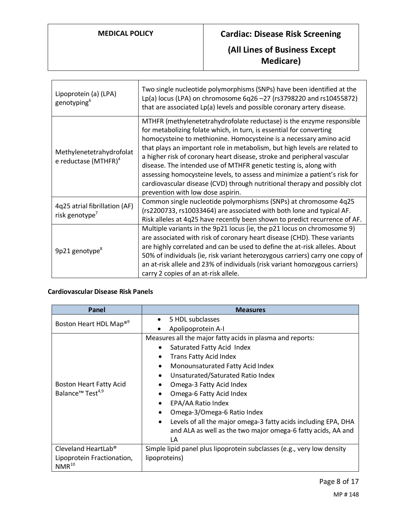# **(All Lines of Business Except Medicare)**

| Lipoprotein (a) (LPA)<br>genotyping <sup>6</sup>            | Two single nucleotide polymorphisms (SNPs) have been identified at the<br>Lp(a) locus (LPA) on chromosome 6q26 -27 (rs3798220 and rs10455872)<br>that are associated Lp(a) levels and possible coronary artery disease.                                                                                                                                                                                                                                                                                                                                                                                                                           |
|-------------------------------------------------------------|---------------------------------------------------------------------------------------------------------------------------------------------------------------------------------------------------------------------------------------------------------------------------------------------------------------------------------------------------------------------------------------------------------------------------------------------------------------------------------------------------------------------------------------------------------------------------------------------------------------------------------------------------|
| Methylenetetrahydrofolat<br>e reductase (MTHFR) $4$         | MTHFR (methylenetetrahydrofolate reductase) is the enzyme responsible<br>for metabolizing folate which, in turn, is essential for converting<br>homocysteine to methionine. Homocysteine is a necessary amino acid<br>that plays an important role in metabolism, but high levels are related to<br>a higher risk of coronary heart disease, stroke and peripheral vascular<br>disease. The intended use of MTHFR genetic testing is, along with<br>assessing homocysteine levels, to assess and minimize a patient's risk for<br>cardiovascular disease (CVD) through nutritional therapy and possibly clot<br>prevention with low dose aspirin. |
| 4q25 atrial fibrillation (AF)<br>risk genotype <sup>7</sup> | Common single nucleotide polymorphisms (SNPs) at chromosome 4q25<br>(rs2200733, rs10033464) are associated with both lone and typical AF.<br>Risk alleles at 4q25 have recently been shown to predict recurrence of AF.                                                                                                                                                                                                                                                                                                                                                                                                                           |
| 9p21 genotype <sup>8</sup>                                  | Multiple variants in the 9p21 locus (ie, the p21 locus on chromosome 9)<br>are associated with risk of coronary heart disease (CHD). These variants<br>are highly correlated and can be used to define the at-risk alleles. About<br>50% of individuals (ie, risk variant heterozygous carriers) carry one copy of<br>an at-risk allele and 23% of individuals (risk variant homozygous carriers)<br>carry 2 copies of an at-risk allele.                                                                                                                                                                                                         |

#### <span id="page-7-0"></span>**Cardiovascular Disease Risk Panels**

| Panel                                    | <b>Measures</b>                                                             |
|------------------------------------------|-----------------------------------------------------------------------------|
| Boston Heart HDL Map <sup>®9</sup>       | 5 HDL subclasses<br>$\bullet$                                               |
|                                          | Apolipoprotein A-I                                                          |
|                                          | Measures all the major fatty acids in plasma and reports:                   |
|                                          | Saturated Fatty Acid Index                                                  |
|                                          | <b>Trans Fatty Acid Index</b>                                               |
|                                          | Monounsaturated Fatty Acid Index                                            |
|                                          | Unsaturated/Saturated Ratio Index<br>$\bullet$                              |
| Boston Heart Fatty Acid                  | Omega-3 Fatty Acid Index                                                    |
| Balance <sup>™</sup> Test <sup>4,9</sup> | Omega-6 Fatty Acid Index                                                    |
|                                          | EPA/AA Ratio Index<br>$\bullet$                                             |
|                                          | Omega-3/Omega-6 Ratio Index<br>٠                                            |
|                                          | Levels of all the major omega-3 fatty acids including EPA, DHA<br>$\bullet$ |
|                                          | and ALA as well as the two major omega-6 fatty acids, AA and                |
|                                          | LA                                                                          |
| Cleveland HeartLab <sup>®</sup>          | Simple lipid panel plus lipoprotein subclasses (e.g., very low density      |
| Lipoprotein Fractionation,<br>$NMR^{10}$ | lipoproteins)                                                               |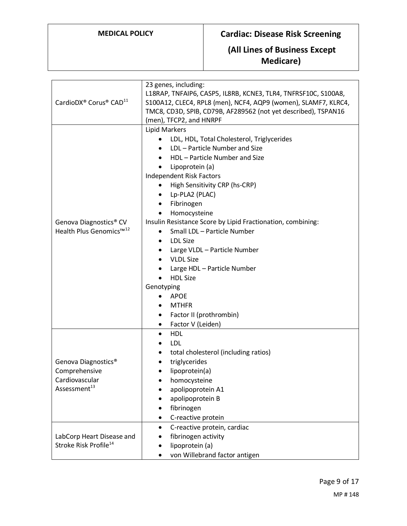| CardioDX® Corus® CAD <sup>11</sup>                                                             | 23 genes, including:<br>L18RAP, TNFAIP6, CASP5, IL8RB, KCNE3, TLR4, TNFRSF10C, S100A8,<br>S100A12, CLEC4, RPL8 (men), NCF4, AQP9 (women), SLAMF7, KLRC4,<br>TMC8, CD3D, SPIB, CD79B, AF289562 (not yet described), TSPAN16<br>(men), TFCP2, and HNRPF                                                                                                                                                                                                                                                                                                                                                                                                                                        |
|------------------------------------------------------------------------------------------------|----------------------------------------------------------------------------------------------------------------------------------------------------------------------------------------------------------------------------------------------------------------------------------------------------------------------------------------------------------------------------------------------------------------------------------------------------------------------------------------------------------------------------------------------------------------------------------------------------------------------------------------------------------------------------------------------|
| Genova Diagnostics® CV<br>Health Plus Genomics™ <sup>12</sup>                                  | <b>Lipid Markers</b><br>LDL, HDL, Total Cholesterol, Triglycerides<br>LDL - Particle Number and Size<br>HDL - Particle Number and Size<br>Lipoprotein (a)<br>$\bullet$<br>Independent Risk Factors<br>High Sensitivity CRP (hs-CRP)<br>٠<br>Lp-PLA2 (PLAC)<br>$\bullet$<br>Fibrinogen<br>٠<br>Homocysteine<br>$\bullet$<br>Insulin Resistance Score by Lipid Fractionation, combining:<br>Small LDL - Particle Number<br>٠<br><b>LDL Size</b><br>$\bullet$<br>Large VLDL - Particle Number<br><b>VLDL Size</b><br>Large HDL - Particle Number<br><b>HDL Size</b><br>$\bullet$<br>Genotyping<br><b>APOE</b><br>٠<br><b>MTHFR</b><br>Factor II (prothrombin)<br>Factor V (Leiden)<br>$\bullet$ |
| Genova Diagnostics <sup>®</sup><br>Comprehensive<br>Cardiovascular<br>Assessment <sup>13</sup> | <b>HDL</b><br>$\bullet$<br>LDL<br>٠<br>total cholesterol (including ratios)<br>٠<br>triglycerides<br>lipoprotein(a)<br>homocysteine<br>apolipoprotein A1<br>apolipoprotein B<br>fibrinogen<br>C-reactive protein<br>$\bullet$                                                                                                                                                                                                                                                                                                                                                                                                                                                                |
| LabCorp Heart Disease and<br>Stroke Risk Profile <sup>14</sup>                                 | C-reactive protein, cardiac<br>$\bullet$<br>fibrinogen activity<br>lipoprotein (a)<br>von Willebrand factor antigen                                                                                                                                                                                                                                                                                                                                                                                                                                                                                                                                                                          |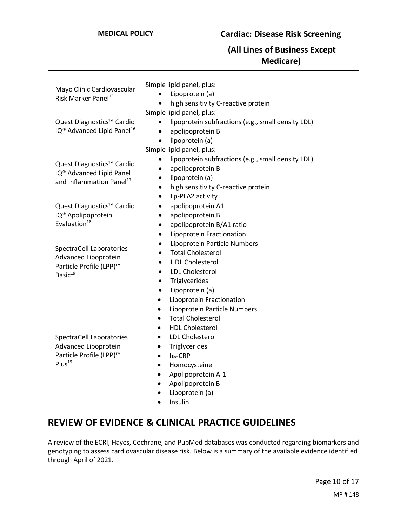## **(All Lines of Business Except Medicare)**

| Mayo Clinic Cardiovascular<br>Risk Marker Panel <sup>15</sup>     | Simple lipid panel, plus:                                       |
|-------------------------------------------------------------------|-----------------------------------------------------------------|
|                                                                   | Lipoprotein (a)                                                 |
|                                                                   | high sensitivity C-reactive protein                             |
|                                                                   | Simple lipid panel, plus:                                       |
| Quest Diagnostics™ Cardio                                         | lipoprotein subfractions (e.g., small density LDL)<br>$\bullet$ |
| IQ <sup>®</sup> Advanced Lipid Panel <sup>16</sup>                | apolipoprotein B<br>$\bullet$                                   |
|                                                                   | lipoprotein (a)<br>$\bullet$                                    |
|                                                                   | Simple lipid panel, plus:                                       |
|                                                                   | lipoprotein subfractions (e.g., small density LDL)              |
| Quest Diagnostics™ Cardio<br>IQ <sup>®</sup> Advanced Lipid Panel | apolipoprotein B                                                |
| and Inflammation Panel <sup>17</sup>                              | lipoprotein (a)<br>$\bullet$                                    |
|                                                                   | high sensitivity C-reactive protein<br>$\bullet$                |
|                                                                   | Lp-PLA2 activity<br>$\bullet$                                   |
| Quest Diagnostics™ Cardio                                         | apolipoprotein A1<br>$\bullet$                                  |
| IQ <sup>®</sup> Apolipoprotein                                    | apolipoprotein B<br>٠                                           |
| Evaluation <sup>18</sup>                                          | apolipoprotein B/A1 ratio<br>٠                                  |
|                                                                   | Lipoprotein Fractionation<br>$\bullet$                          |
|                                                                   | Lipoprotein Particle Numbers                                    |
| SpectraCell Laboratories<br>Advanced Lipoprotein                  | <b>Total Cholesterol</b>                                        |
| Particle Profile (LPP)™                                           | <b>HDL Cholesterol</b>                                          |
| Basic <sup>19</sup>                                               | <b>LDL Cholesterol</b>                                          |
|                                                                   | Triglycerides<br>٠                                              |
|                                                                   | Lipoprotein (a)<br>$\bullet$                                    |
|                                                                   | Lipoprotein Fractionation<br>$\bullet$                          |
|                                                                   | Lipoprotein Particle Numbers<br>$\bullet$                       |
|                                                                   | <b>Total Cholesterol</b><br>$\bullet$                           |
|                                                                   | <b>HDL Cholesterol</b>                                          |
| SpectraCell Laboratories                                          | <b>LDL Cholesterol</b>                                          |
| Advanced Lipoprotein                                              | Triglycerides                                                   |
| Particle Profile (LPP)™                                           | hs-CRP                                                          |
| Plus <sup>19</sup>                                                | Homocysteine<br>٠                                               |
|                                                                   | Apolipoprotein A-1                                              |
|                                                                   | Apolipoprotein B<br>$\bullet$                                   |
|                                                                   | Lipoprotein (a)                                                 |
|                                                                   | Insulin                                                         |

# **REVIEW OF EVIDENCE & CLINICAL PRACTICE GUIDELINES**

A review of the ECRI, Hayes, Cochrane, and PubMed databases was conducted regarding biomarkers and genotyping to assess cardiovascular disease risk. Below is a summary of the available evidence identified through April of 2021.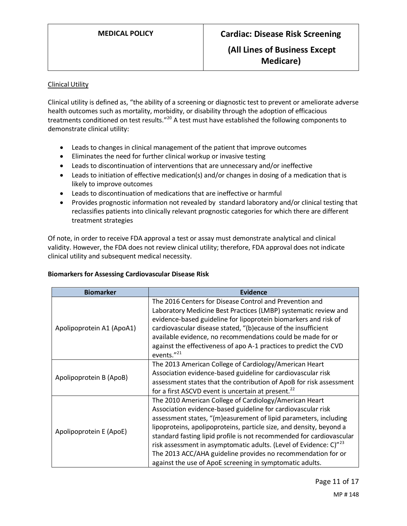### Clinical Utility

Clinical utility is defined as, "the ability of a screening or diagnostic test to prevent or ameliorate adverse health outcomes such as mortality, morbidity, or disability through the adoption of efficacious treatments conditioned on test results."<sup>20</sup> A test must have established the following components to demonstrate clinical utility:

- Leads to changes in clinical management of the patient that improve outcomes
- Eliminates the need for further clinical workup or invasive testing
- Leads to discontinuation of interventions that are unnecessary and/or ineffective
- Leads to initiation of effective medication(s) and/or changes in dosing of a medication that is likely to improve outcomes
- Leads to discontinuation of medications that are ineffective or harmful
- Provides prognostic information not revealed by standard laboratory and/or clinical testing that reclassifies patients into clinically relevant prognostic categories for which there are different treatment strategies

Of note, in order to receive FDA approval a test or assay must demonstrate analytical and clinical validity. However, the FDA does not review clinical utility; therefore, FDA approval does not indicate clinical utility and subsequent medical necessity.

#### **Biomarkers for Assessing Cardiovascular Disease Risk**

| <b>Biomarker</b>          | Evidence                                                                        |
|---------------------------|---------------------------------------------------------------------------------|
|                           | The 2016 Centers for Disease Control and Prevention and                         |
|                           | Laboratory Medicine Best Practices (LMBP) systematic review and                 |
|                           | evidence-based guideline for lipoprotein biomarkers and risk of                 |
| Apolipoprotein A1 (ApoA1) | cardiovascular disease stated, "(b)ecause of the insufficient                   |
|                           | available evidence, no recommendations could be made for or                     |
|                           | against the effectiveness of apo A-1 practices to predict the CVD<br>events."21 |
|                           | The 2013 American College of Cardiology/American Heart                          |
|                           | Association evidence-based guideline for cardiovascular risk                    |
| Apolipoprotein B (ApoB)   | assessment states that the contribution of ApoB for risk assessment             |
|                           | for a first ASCVD event is uncertain at present. <sup>22</sup>                  |
|                           | The 2010 American College of Cardiology/American Heart                          |
|                           | Association evidence-based guideline for cardiovascular risk                    |
|                           | assessment states, "(m)easurement of lipid parameters, including                |
| Apolipoprotein E (ApoE)   | lipoproteins, apolipoproteins, particle size, and density, beyond a             |
|                           | standard fasting lipid profile is not recommended for cardiovascular            |
|                           | risk assessment in asymptomatic adults. (Level of Evidence: C)" <sup>23</sup>   |
|                           | The 2013 ACC/AHA guideline provides no recommendation for or                    |
|                           | against the use of ApoE screening in symptomatic adults.                        |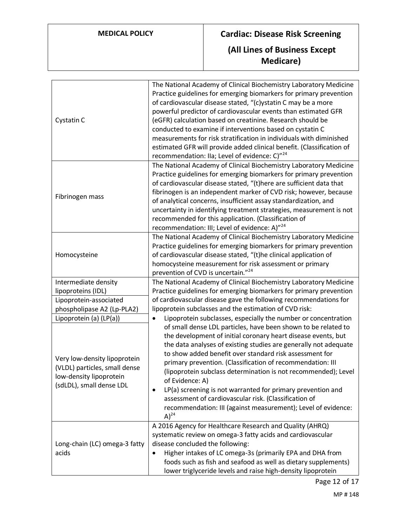| Cystatin C                                                                                                           | The National Academy of Clinical Biochemistry Laboratory Medicine<br>Practice guidelines for emerging biomarkers for primary prevention<br>of cardiovascular disease stated, "(c)ystatin C may be a more<br>powerful predictor of cardiovascular events than estimated GFR<br>(eGFR) calculation based on creatinine. Research should be<br>conducted to examine if interventions based on cystatin C<br>measurements for risk stratification in individuals with diminished<br>estimated GFR will provide added clinical benefit. (Classification of<br>recommendation: Ila; Level of evidence: C)" <sup>24</sup> |
|----------------------------------------------------------------------------------------------------------------------|--------------------------------------------------------------------------------------------------------------------------------------------------------------------------------------------------------------------------------------------------------------------------------------------------------------------------------------------------------------------------------------------------------------------------------------------------------------------------------------------------------------------------------------------------------------------------------------------------------------------|
| Fibrinogen mass                                                                                                      | The National Academy of Clinical Biochemistry Laboratory Medicine<br>Practice guidelines for emerging biomarkers for primary prevention<br>of cardiovascular disease stated, "(t)here are sufficient data that<br>fibrinogen is an independent marker of CVD risk; however, because<br>of analytical concerns, insufficient assay standardization, and<br>uncertainty in identifying treatment strategies, measurement is not<br>recommended for this application. (Classification of<br>recommendation: III; Level of evidence: A)" <sup>24</sup>                                                                 |
| Homocysteine                                                                                                         | The National Academy of Clinical Biochemistry Laboratory Medicine<br>Practice guidelines for emerging biomarkers for primary prevention<br>of cardiovascular disease stated, "(t)he clinical application of<br>homocysteine measurement for risk assessment or primary<br>prevention of CVD is uncertain." <sup>24</sup>                                                                                                                                                                                                                                                                                           |
| Intermediate density                                                                                                 | The National Academy of Clinical Biochemistry Laboratory Medicine                                                                                                                                                                                                                                                                                                                                                                                                                                                                                                                                                  |
| lipoproteins (IDL)                                                                                                   | Practice guidelines for emerging biomarkers for primary prevention                                                                                                                                                                                                                                                                                                                                                                                                                                                                                                                                                 |
| Lipoprotein-associated                                                                                               | of cardiovascular disease gave the following recommendations for                                                                                                                                                                                                                                                                                                                                                                                                                                                                                                                                                   |
| phospholipase A2 (Lp-PLA2)                                                                                           | lipoprotein subclasses and the estimation of CVD risk:                                                                                                                                                                                                                                                                                                                                                                                                                                                                                                                                                             |
| Lipoprotein (a) (LP(a))                                                                                              | Lipoprotein subclasses, especially the number or concentration<br>$\bullet$                                                                                                                                                                                                                                                                                                                                                                                                                                                                                                                                        |
| Very low-density lipoprotein<br>(VLDL) particles, small dense<br>low-density lipoprotein<br>(sdLDL), small dense LDL | of small dense LDL particles, have been shown to be related to<br>the development of initial coronary heart disease events, but<br>the data analyses of existing studies are generally not adequate<br>to show added benefit over standard risk assessment for<br>primary prevention. (Classification of recommendation: III<br>(lipoprotein subclass determination is not recommended); Level<br>of Evidence: A)<br>LP(a) screening is not warranted for primary prevention and<br>٠<br>assessment of cardiovascular risk. (Classification of<br>recommendation: III (against measurement); Level of evidence:    |
|                                                                                                                      | $(A)^{24}$<br>A 2016 Agency for Healthcare Research and Quality (AHRQ)                                                                                                                                                                                                                                                                                                                                                                                                                                                                                                                                             |
| Long-chain (LC) omega-3 fatty<br>acids                                                                               | systematic review on omega-3 fatty acids and cardiovascular                                                                                                                                                                                                                                                                                                                                                                                                                                                                                                                                                        |
|                                                                                                                      | disease concluded the following:                                                                                                                                                                                                                                                                                                                                                                                                                                                                                                                                                                                   |
|                                                                                                                      | Higher intakes of LC omega-3s (primarily EPA and DHA from<br>$\bullet$                                                                                                                                                                                                                                                                                                                                                                                                                                                                                                                                             |
|                                                                                                                      | foods such as fish and seafood as well as dietary supplements)                                                                                                                                                                                                                                                                                                                                                                                                                                                                                                                                                     |
|                                                                                                                      | lower triglyceride levels and raise high-density lipoprotein                                                                                                                                                                                                                                                                                                                                                                                                                                                                                                                                                       |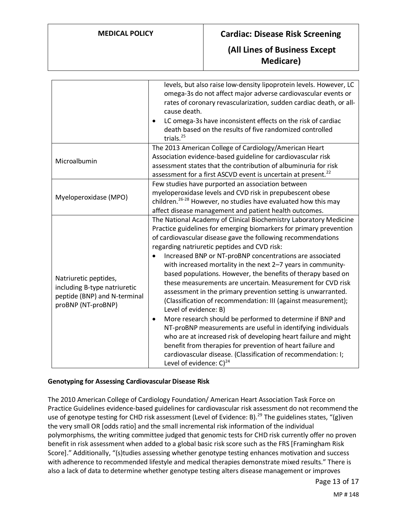|                                                                                                             | levels, but also raise low-density lipoprotein levels. However, LC<br>omega-3s do not affect major adverse cardiovascular events or<br>rates of coronary revascularization, sudden cardiac death, or all-<br>cause death.<br>LC omega-3s have inconsistent effects on the risk of cardiac<br>death based on the results of five randomized controlled<br>trials. $^{25}$                                                                                                                                                                                                                                                                                                                                                                                                                                                                                                                                                                                                                                                                                |
|-------------------------------------------------------------------------------------------------------------|---------------------------------------------------------------------------------------------------------------------------------------------------------------------------------------------------------------------------------------------------------------------------------------------------------------------------------------------------------------------------------------------------------------------------------------------------------------------------------------------------------------------------------------------------------------------------------------------------------------------------------------------------------------------------------------------------------------------------------------------------------------------------------------------------------------------------------------------------------------------------------------------------------------------------------------------------------------------------------------------------------------------------------------------------------|
| Microalbumin                                                                                                | The 2013 American College of Cardiology/American Heart<br>Association evidence-based guideline for cardiovascular risk<br>assessment states that the contribution of albuminuria for risk<br>assessment for a first ASCVD event is uncertain at present. <sup>22</sup>                                                                                                                                                                                                                                                                                                                                                                                                                                                                                                                                                                                                                                                                                                                                                                                  |
| Myeloperoxidase (MPO)                                                                                       | Few studies have purported an association between<br>myeloperoxidase levels and CVD risk in prepubescent obese<br>children. <sup>26-28</sup> However, no studies have evaluated how this may<br>affect disease management and patient health outcomes.                                                                                                                                                                                                                                                                                                                                                                                                                                                                                                                                                                                                                                                                                                                                                                                                  |
| Natriuretic peptides,<br>including B-type natriuretic<br>peptide (BNP) and N-terminal<br>proBNP (NT-proBNP) | The National Academy of Clinical Biochemistry Laboratory Medicine<br>Practice guidelines for emerging biomarkers for primary prevention<br>of cardiovascular disease gave the following recommendations<br>regarding natriuretic peptides and CVD risk:<br>Increased BNP or NT-proBNP concentrations are associated<br>with increased mortality in the next 2-7 years in community-<br>based populations. However, the benefits of therapy based on<br>these measurements are uncertain. Measurement for CVD risk<br>assessment in the primary prevention setting is unwarranted.<br>(Classification of recommendation: III (against measurement);<br>Level of evidence: B)<br>More research should be performed to determine if BNP and<br>$\bullet$<br>NT-proBNP measurements are useful in identifying individuals<br>who are at increased risk of developing heart failure and might<br>benefit from therapies for prevention of heart failure and<br>cardiovascular disease. (Classification of recommendation: I;<br>Level of evidence: $C)^{24}$ |

#### **Genotyping for Assessing Cardiovascular Disease Risk**

The 2010 American College of Cardiology Foundation/ American Heart Association Task Force on Practice Guidelines evidence-based guidelines for cardiovascular risk assessment do not recommend the use of genotype testing for CHD risk assessment (Level of Evidence: B).<sup>29</sup> The guidelines states, "(g)iven the very small OR [odds ratio] and the small incremental risk information of the individual polymorphisms, the writing committee judged that genomic tests for CHD risk currently offer no proven benefit in risk assessment when added to a global basic risk score such as the FRS [Framingham Risk Score]." Additionally, "(s)tudies assessing whether genotype testing enhances motivation and success with adherence to recommended lifestyle and medical therapies demonstrate mixed results." There is also a lack of data to determine whether genotype testing alters disease management or improves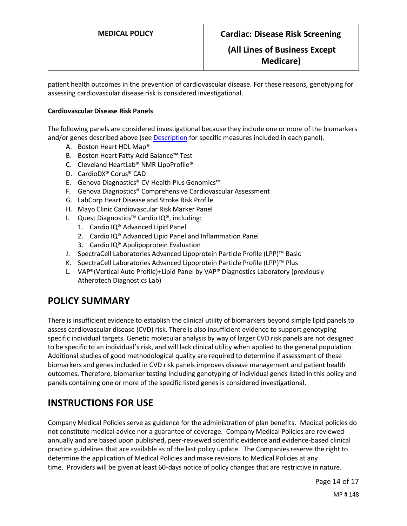patient health outcomes in the prevention of cardiovascular disease. For these reasons, genotyping for assessing cardiovascular disease risk is considered investigational.

#### **Cardiovascular Disease Risk Panels**

The following panels are considered investigational because they include one or more of the biomarkers and/or genes described above (see [Description](#page-7-0) for specific measures included in each panel).

- A. Boston Heart HDL Map®
- B. Boston Heart Fatty Acid Balance™ Test
- C. Cleveland HeartLab® NMR LipoProfile®
- D. CardioDX® Corus® CAD
- E. Genova Diagnostics® CV Health Plus Genomics™
- F. Genova Diagnostics® Comprehensive Cardiovascular Assessment
- G. LabCorp Heart Disease and Stroke Risk Profile
- H. Mayo Clinic Cardiovascular Risk Marker Panel
- I. Quest Diagnostics™ Cardio IQ®, including:
	- 1. Cardio IQ® Advanced Lipid Panel
	- 2. Cardio IQ® Advanced Lipid Panel and Inflammation Panel
	- 3. Cardio IQ® Apolipoprotein Evaluation
- J. SpectraCell Laboratories Advanced Lipoprotein Particle Profile (LPP)™ Basic
- K. SpectraCell Laboratories Advanced Lipoprotein Particle Profile (LPP)™ Plus
- L. VAP®(Vertical Auto Profile)+Lipid Panel by VAP® Diagnostics Laboratory (previously Atherotech Diagnostics Lab)

# <span id="page-13-0"></span>**POLICY SUMMARY**

There is insufficient evidence to establish the clinical utility of biomarkers beyond simple lipid panels to assess cardiovascular disease (CVD) risk. There is also insufficient evidence to support genotyping specific individual targets. Genetic molecular analysis by way of larger CVD risk panels are not designed to be specific to an individual's risk, and will lack clinical utility when applied to the general population. Additional studies of good methodological quality are required to determine if assessment of these biomarkers and genes included in CVD risk panels improves disease management and patient health outcomes. Therefore, biomarker testing including genotyping of individual genes listed in this policy and panels containing one or more of the specific listed genes is considered investigational.

# **INSTRUCTIONS FOR USE**

Company Medical Policies serve as guidance for the administration of plan benefits. Medical policies do not constitute medical advice nor a guarantee of coverage. Company Medical Policies are reviewed annually and are based upon published, peer-reviewed scientific evidence and evidence-based clinical practice guidelines that are available as of the last policy update. The Companies reserve the right to determine the application of Medical Policies and make revisions to Medical Policies at any time. Providers will be given at least 60-days notice of policy changes that are restrictive in nature.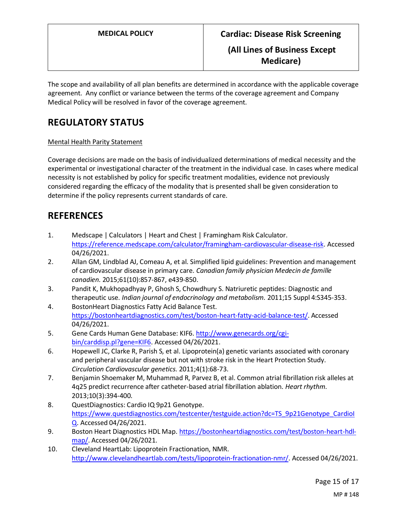The scope and availability of all plan benefits are determined in accordance with the applicable coverage agreement. Any conflict or variance between the terms of the coverage agreement and Company Medical Policy will be resolved in favor of the coverage agreement.

# **REGULATORY STATUS**

### Mental Health Parity Statement

Coverage decisions are made on the basis of individualized determinations of medical necessity and the experimental or investigational character of the treatment in the individual case. In cases where medical necessity is not established by policy for specific treatment modalities, evidence not previously considered regarding the efficacy of the modality that is presented shall be given consideration to determine if the policy represents current standards of care.

# **REFERENCES**

- 1. Medscape | Calculators | Heart and Chest | Framingham Risk Calculator. [https://reference.medscape.com/calculator/framingham-cardiovascular-disease-risk.](https://reference.medscape.com/calculator/framingham-cardiovascular-disease-risk) Accessed 04/26/2021.
- 2. Allan GM, Lindblad AJ, Comeau A, et al. Simplified lipid guidelines: Prevention and management of cardiovascular disease in primary care. *Canadian family physician Medecin de famille canadien.* 2015;61(10):857-867, e439-850.
- 3. Pandit K, Mukhopadhyay P, Ghosh S, Chowdhury S. Natriuretic peptides: Diagnostic and therapeutic use. *Indian journal of endocrinology and metabolism.* 2011;15 Suppl 4:S345-353.
- 4. BostonHeart Diagnostics Fatty Acid Balance Test. [https://bostonheartdiagnostics.com/test/boston-heart-fatty-acid-balance-test/.](https://bostonheartdiagnostics.com/test/boston-heart-fatty-acid-balance-test/) Accessed 04/26/2021.
- 5. Gene Cards Human Gene Database: KIF6[. http://www.genecards.org/cgi](http://www.genecards.org/cgi-bin/carddisp.pl?gene=KIF6)[bin/carddisp.pl?gene=KIF6.](http://www.genecards.org/cgi-bin/carddisp.pl?gene=KIF6) Accessed 04/26/2021.
- 6. Hopewell JC, Clarke R, Parish S, et al. Lipoprotein(a) genetic variants associated with coronary and peripheral vascular disease but not with stroke risk in the Heart Protection Study. *Circulation Cardiovascular genetics.* 2011;4(1):68-73.
- 7. Benjamin Shoemaker M, Muhammad R, Parvez B, et al. Common atrial fibrillation risk alleles at 4q25 predict recurrence after catheter-based atrial fibrillation ablation. *Heart rhythm.*  2013;10(3):394-400.
- 8. QuestDiagnostics: Cardio IQ 9p21 Genotype. [https://www.questdiagnostics.com/testcenter/testguide.action?dc=TS\\_9p21Genotype\\_CardioI](https://www.questdiagnostics.com/testcenter/testguide.action?dc=TS_9p21Genotype_CardioIQ) [Q.](https://www.questdiagnostics.com/testcenter/testguide.action?dc=TS_9p21Genotype_CardioIQ) Accessed 04/26/2021.
- 9. Boston Heart Diagnostics HDL Map[. https://bostonheartdiagnostics.com/test/boston-heart-hdl](https://bostonheartdiagnostics.com/test/boston-heart-hdl-map/)[map/.](https://bostonheartdiagnostics.com/test/boston-heart-hdl-map/) Accessed 04/26/2021.
- 10. Cleveland HeartLab: Lipoprotein Fractionation, NMR. [http://www.clevelandheartlab.com/tests/lipoprotein-fractionation-nmr/.](http://www.clevelandheartlab.com/tests/lipoprotein-fractionation-nmr/) Accessed 04/26/2021.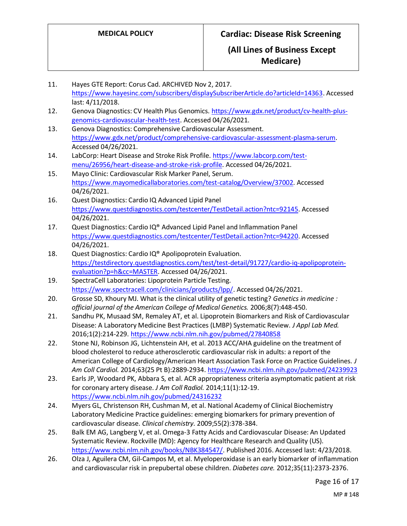Page 16 of 17 11. Hayes GTE Report: Corus Cad. ARCHIVED Nov 2, 2017. [https://www.hayesinc.com/subscribers/displaySubscriberArticle.do?articleId=14363.](https://www.hayesinc.com/subscribers/displaySubscriberArticle.do?articleId=14363) Accessed last: 4/11/2018. 12. Genova Diagnostics: CV Health Plus Genomics. [https://www.gdx.net/product/cv-health-plus](https://www.gdx.net/product/cv-health-plus-genomics-cardiovascular-health-test)[genomics-cardiovascular-health-test.](https://www.gdx.net/product/cv-health-plus-genomics-cardiovascular-health-test) Accessed 04/26/2021. 13. Genova Diagnostics: Comprehensive Cardiovascular Assessment. [https://www.gdx.net/product/comprehensive-cardiovascular-assessment-plasma-serum.](https://www.gdx.net/product/comprehensive-cardiovascular-assessment-plasma-serum) Accessed 04/26/2021. 14. LabCorp: Heart Disease and Stroke Risk Profile. [https://www.labcorp.com/test](https://www.labcorp.com/test-menu/26956/heart-disease-and-stroke-risk-profile)[menu/26956/heart-disease-and-stroke-risk-profile.](https://www.labcorp.com/test-menu/26956/heart-disease-and-stroke-risk-profile) Accessed 04/26/2021. 15. Mayo Clinic: Cardiovascular Risk Marker Panel, Serum. [https://www.mayomedicallaboratories.com/test-catalog/Overview/37002.](https://www.mayomedicallaboratories.com/test-catalog/Overview/37002) Accessed 04/26/2021. 16. Quest Diagnostics: Cardio IQ Advanced Lipid Panel [https://www.questdiagnostics.com/testcenter/TestDetail.action?ntc=92145.](https://www.questdiagnostics.com/testcenter/TestDetail.action?ntc=92145) Accessed 04/26/2021. 17. Quest Diagnostics: Cardio IQ® Advanced Lipid Panel and Inflammation Panel [https://www.questdiagnostics.com/testcenter/TestDetail.action?ntc=94220.](https://www.questdiagnostics.com/testcenter/TestDetail.action?ntc=94220) Accessed 04/26/2021. 18. Quest Diagnostics: Cardio IQ® Apolipoprotein Evaluation. [https://testdirectory.questdiagnostics.com/test/test-detail/91727/cardio-iq-apolipoprotein](https://testdirectory.questdiagnostics.com/test/test-detail/91727/cardio-iq-apolipoprotein-evaluation?p=h&cc=MASTER)[evaluation?p=h&cc=MASTER.](https://testdirectory.questdiagnostics.com/test/test-detail/91727/cardio-iq-apolipoprotein-evaluation?p=h&cc=MASTER) Accessed 04/26/2021. 19. SpectraCell Laboratories: Lipoprotein Particle Testing. [https://www.spectracell.com/clinicians/products/lpp/.](https://www.spectracell.com/clinicians/products/lpp/) Accessed 04/26/2021. 20. Grosse SD, Khoury MJ. What is the clinical utility of genetic testing? *Genetics in medicine : official journal of the American College of Medical Genetics.* 2006;8(7):448-450. 21. Sandhu PK, Musaad SM, Remaley AT, et al. Lipoprotein Biomarkers and Risk of Cardiovascular Disease: A Laboratory Medicine Best Practices (LMBP) Systematic Review. *J Appl Lab Med.*  2016;1(2):214-229[. https://www.ncbi.nlm.nih.gov/pubmed/27840858](https://www.ncbi.nlm.nih.gov/pubmed/27840858) 22. Stone NJ, Robinson JG, Lichtenstein AH, et al. 2013 ACC/AHA guideline on the treatment of blood cholesterol to reduce atherosclerotic cardiovascular risk in adults: a report of the American College of Cardiology/American Heart Association Task Force on Practice Guidelines. *J Am Coll Cardiol.* 2014;63(25 Pt B):2889-2934[. https://www.ncbi.nlm.nih.gov/pubmed/24239923](https://www.ncbi.nlm.nih.gov/pubmed/24239923) 23. Earls JP, Woodard PK, Abbara S, et al. ACR appropriateness criteria asymptomatic patient at risk for coronary artery disease. *J Am Coll Radiol.* 2014;11(1):12-19. <https://www.ncbi.nlm.nih.gov/pubmed/24316232> 24. Myers GL, Christenson RH, Cushman M, et al. National Academy of Clinical Biochemistry Laboratory Medicine Practice guidelines: emerging biomarkers for primary prevention of cardiovascular disease. *Clinical chemistry.* 2009;55(2):378-384. 25. Balk EM AG, Langberg V, et al. Omega-3 Fatty Acids and Cardiovascular Disease: An Updated Systematic Review. Rockville (MD): Agency for Healthcare Research and Quality (US). [https://www.ncbi.nlm.nih.gov/books/NBK384547/.](https://www.ncbi.nlm.nih.gov/books/NBK384547/) Published 2016. Accessed last: 4/23/2018. 26. Olza J, Aguilera CM, Gil-Campos M, et al. Myeloperoxidase is an early biomarker of inflammation and cardiovascular risk in prepubertal obese children. *Diabetes care.* 2012;35(11):2373-2376.